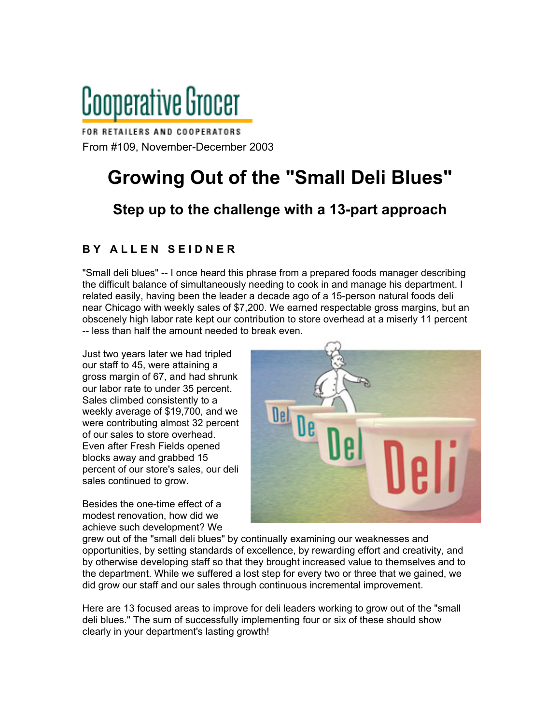# Cooperative Grocer

FOR RETAILERS AND COOPERATORS From #109, November-December 2003

## **Growing Out of the "Small Deli Blues"**

### **Step up to the challenge with a 13-part approach**

#### **B Y A L L E N S E I D N E R**

"Small deli blues" -- I once heard this phrase from a prepared foods manager describing the difficult balance of simultaneously needing to cook in and manage his department. I related easily, having been the leader a decade ago of a 15-person natural foods deli near Chicago with weekly sales of \$7,200. We earned respectable gross margins, but an obscenely high labor rate kept our contribution to store overhead at a miserly 11 percent -- less than half the amount needed to break even.

Just two years later we had tripled our staff to 45, were attaining a gross margin of 67, and had shrunk our labor rate to under 35 percent. Sales climbed consistently to a weekly average of \$19,700, and we were contributing almost 32 percent of our sales to store overhead. Even after Fresh Fields opened blocks away and grabbed 15 percent of our store's sales, our deli sales continued to grow.

Besides the one-time effect of a modest renovation, how did we achieve such development? We



grew out of the "small deli blues" by continually examining our weaknesses and opportunities, by setting standards of excellence, by rewarding effort and creativity, and by otherwise developing staff so that they brought increased value to themselves and to the department. While we suffered a lost step for every two or three that we gained, we did grow our staff and our sales through continuous incremental improvement.

Here are 13 focused areas to improve for deli leaders working to grow out of the "small deli blues." The sum of successfully implementing four or six of these should show clearly in your department's lasting growth!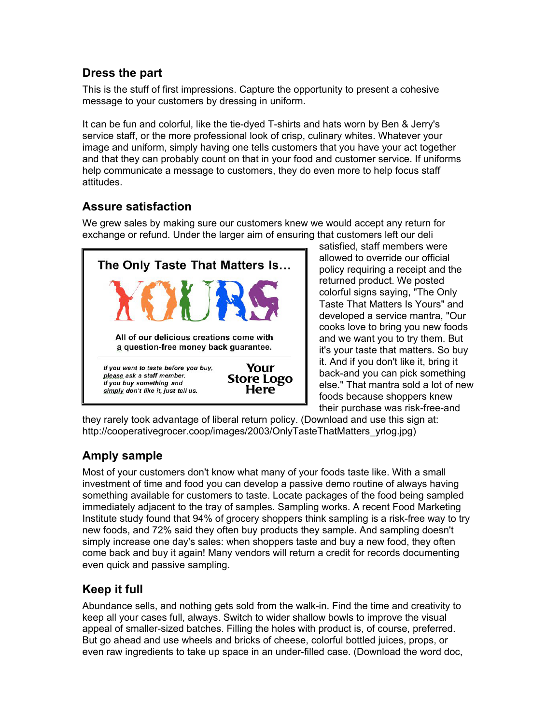#### **Dress the part**

This is the stuff of first impressions. Capture the opportunity to present a cohesive message to your customers by dressing in uniform.

It can be fun and colorful, like the tie-dyed T-shirts and hats worn by Ben & Jerry's service staff, or the more professional look of crisp, culinary whites. Whatever your image and uniform, simply having one tells customers that you have your act together and that they can probably count on that in your food and customer service. If uniforms help communicate a message to customers, they do even more to help focus staff attitudes.

#### **Assure satisfaction**

We grew sales by making sure our customers knew we would accept any return for exchange or refund. Under the larger aim of ensuring that customers left our deli



satisfied, staff members were allowed to override our official policy requiring a receipt and the returned product. We posted colorful signs saying, "The Only Taste That Matters Is Yours" and developed a service mantra, "Our cooks love to bring you new foods and we want you to try them. But it's your taste that matters. So buy it. And if you don't like it, bring it back-and you can pick something else." That mantra sold a lot of new foods because shoppers knew their purchase was risk-free-and

they rarely took advantage of liberal return policy. (Download and use this sign at: http://cooperativegrocer.coop/images/2003/OnlyTasteThatMatters\_yrlog.jpg)

#### **Amply sample**

Most of your customers don't know what many of your foods taste like. With a small investment of time and food you can develop a passive demo routine of always having something available for customers to taste. Locate packages of the food being sampled immediately adjacent to the tray of samples. Sampling works. A recent Food Marketing Institute study found that 94% of grocery shoppers think sampling is a risk-free way to try new foods, and 72% said they often buy products they sample. And sampling doesn't simply increase one day's sales: when shoppers taste and buy a new food, they often come back and buy it again! Many vendors will return a credit for records documenting even quick and passive sampling.

#### **Keep it full**

Abundance sells, and nothing gets sold from the walk-in. Find the time and creativity to keep all your cases full, always. Switch to wider shallow bowls to improve the visual appeal of smaller-sized batches. Filling the holes with product is, of course, preferred. But go ahead and use wheels and bricks of cheese, colorful bottled juices, props, or even raw ingredients to take up space in an under-filled case. (Download the word doc,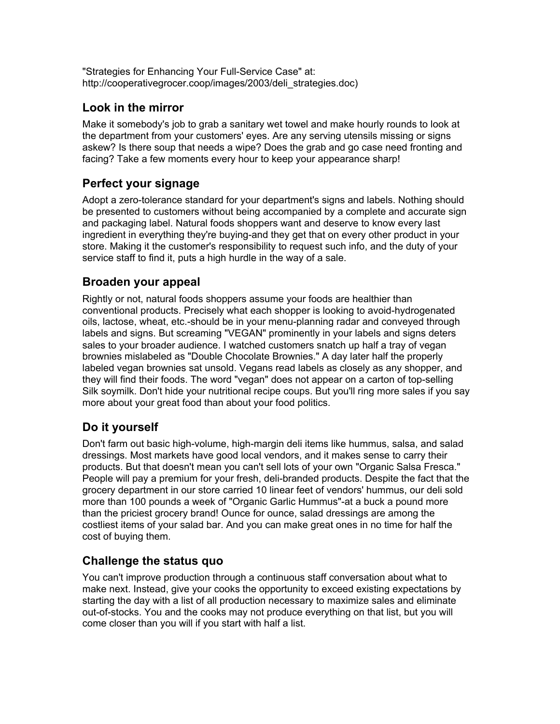"Strategies for Enhancing Your Full-Service Case" at: http://cooperativegrocer.coop/images/2003/deli\_strategies.doc)

#### **Look in the mirror**

Make it somebody's job to grab a sanitary wet towel and make hourly rounds to look at the department from your customers' eyes. Are any serving utensils missing or signs askew? Is there soup that needs a wipe? Does the grab and go case need fronting and facing? Take a few moments every hour to keep your appearance sharp!

#### **Perfect your signage**

Adopt a zero-tolerance standard for your department's signs and labels. Nothing should be presented to customers without being accompanied by a complete and accurate sign and packaging label. Natural foods shoppers want and deserve to know every last ingredient in everything they're buying-and they get that on every other product in your store. Making it the customer's responsibility to request such info, and the duty of your service staff to find it, puts a high hurdle in the way of a sale.

#### **Broaden your appeal**

Rightly or not, natural foods shoppers assume your foods are healthier than conventional products. Precisely what each shopper is looking to avoid-hydrogenated oils, lactose, wheat, etc.-should be in your menu-planning radar and conveyed through labels and signs. But screaming "VEGAN" prominently in your labels and signs deters sales to your broader audience. I watched customers snatch up half a tray of vegan brownies mislabeled as "Double Chocolate Brownies." A day later half the properly labeled vegan brownies sat unsold. Vegans read labels as closely as any shopper, and they will find their foods. The word "vegan" does not appear on a carton of top-selling Silk soymilk. Don't hide your nutritional recipe coups. But you'll ring more sales if you say more about your great food than about your food politics.

#### **Do it yourself**

Don't farm out basic high-volume, high-margin deli items like hummus, salsa, and salad dressings. Most markets have good local vendors, and it makes sense to carry their products. But that doesn't mean you can't sell lots of your own "Organic Salsa Fresca." People will pay a premium for your fresh, deli-branded products. Despite the fact that the grocery department in our store carried 10 linear feet of vendors' hummus, our deli sold more than 100 pounds a week of "Organic Garlic Hummus"-at a buck a pound more than the priciest grocery brand! Ounce for ounce, salad dressings are among the costliest items of your salad bar. And you can make great ones in no time for half the cost of buying them.

#### **Challenge the status quo**

You can't improve production through a continuous staff conversation about what to make next. Instead, give your cooks the opportunity to exceed existing expectations by starting the day with a list of all production necessary to maximize sales and eliminate out-of-stocks. You and the cooks may not produce everything on that list, but you will come closer than you will if you start with half a list.